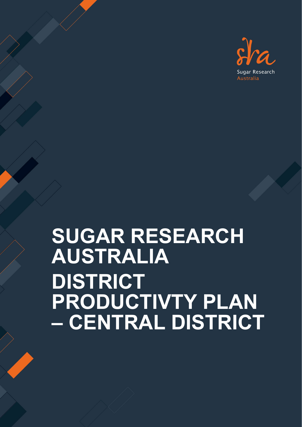

# **SUGAR RESEARCH AUSTRALIA DISTRICT PRODUCTIVTY PLAN – CENTRAL DISTRICT**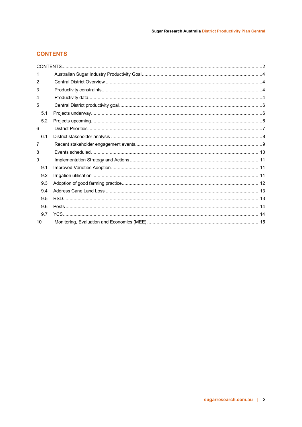# <span id="page-1-0"></span>**CONTENTS**

| 1   |  |
|-----|--|
| 2   |  |
| 3   |  |
| 4   |  |
| 5   |  |
| 5.1 |  |
| 5.2 |  |
| 6   |  |
| 6.1 |  |
| 7   |  |
| 8   |  |
| 9   |  |
| 9.1 |  |
| 9.2 |  |
| 9.3 |  |
| 9.4 |  |
| 9.5 |  |
| 9.6 |  |
| 9.7 |  |
| 10  |  |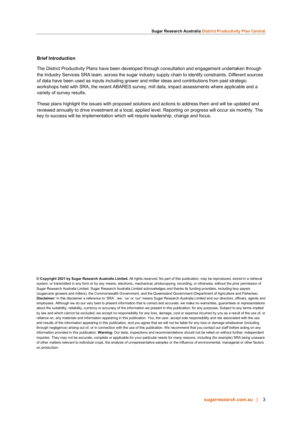#### **Brief Introduction**

**Iner mu oddchon**<br>The District Productivity Plans have been developed through consultation and engagement undertaken through<br>the Industry Services SRA team, across the sugar industry supply chain to identify constraints. of data have been used as inputs including grower and mi<br>workshops held with SRA, the recent ABARES survey, mi<br>variety of survey results. The District Productivity Plans have been developed through consultation and engagement undertaken through of data have been used as inputs including grower and miller ideas and contributions from past strategic workshops held with SRA, the recent ABARES survey, mill data, impact assessments where applicable and a variety of survey results.

reviewed annually to drive investment at a local, i<br>key to success will be implementation which will r<br>**Right** These plans highlight the issues with proposed solutions and actions to address them and will be updated and reviewed annually to drive investment at a local, applied level. Reporting on progress will occur six monthly. The key to success will be implementation which will require leadership, change and focus.

**© Copyright 2021 by Sugar Research Australia Limited.** All rights reserved. No part of this publication, may be reproduced, stored in a retrieval system, or transmitted in any form or by any means, electronic, mechanical, photocopying, recording, or otherwise, without the prior permission of Sugar Research Australia Limited. Sugar Research Australia Limited acknowledges and thanks its funding providers, including levy payers (sugarcane growers and millers), the Commonwealth Government, and the Queensland Government (Department of Agriculture and Fisheries). **Disclaimer:** In this disclaimer a reference to 'SRA', 'we', 'us' or 'our' means Sugar Research Australia Limited and our directors, officers, agents and employees. Although we do our very best to present information that is correct and accurate, we make no warranties, guarantees or representations about the suitability, reliability, currency or accuracy of the information we present in this publication, for any purposes. Subject to any terms implied by law and which cannot be excluded, we accept no responsibility for any loss, damage, cost or expense incurred by you as a result of the use of, or reliance on, any materials and information appearing in this publication. You, the user, accept sole responsibility and risk associated with the use and results of the information appearing in this publication, and you agree that we will not be liable for any loss or damage whatsoever (including through negligence) arising out of, or in connection with the use of this publication. We recommend that you contact our staff before acting on any information provided in this publication. **Warning:** Our tests, inspections and recommendations should not be relied on without further, independent inquiries. They may not be accurate, complete or applicable for your particular needs for many reasons, including (for example) SRA being unaware of other matters relevant to individual crops, the analysis of unrepresentative samples or the influence of environmental, managerial or other factors on production.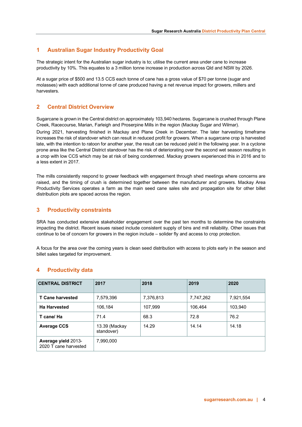# <span id="page-3-0"></span>**1 Australian Sugar Industry Productivity Goal**

The strategic intent for the Australian sugar industry is to; utilise the current area under cane to increase productivity by 10%. This equates to a 3 million tonne increase in production across Qld and NSW by 2026.

At a sugar price of \$500 and 13.5 CCS each tonne of cane has a gross value of \$70 per tonne (sugar and molasses) with each additional tonne of cane produced having a net revenue impact for growers, millers and harvesters.

# <span id="page-3-1"></span>**2 Central District Overview**

Sugarcane is grown in the Central district on approximately 103,940 hectares. Sugarcane is crushed through Plane Creek, Racecourse, Marian, Farleigh and Proserpine Mills in the region (Mackay Sugar and Wilmar). During 2021, harvesting finished in Mackay and Plane Creek in December. The later harvesting timeframe increases the risk of standover which can result in reduced profit for growers. When a sugarcane crop is harvested late, with the intention to ratoon for another year, the result can be reduced yield in the following year. In a cyclone prone area like the Central District standover has the risk of deteriorating over the second wet season resulting in a crop with low CCS which may be at risk of being condemned. Mackay growers experienced this in 2016 and to a less extent in 2017.

The mills consistently respond to grower feedback with engagement through shed meetings where concerns are raised, and the timing of crush is determined together between the manufacturer and growers. Mackay Area Productivity Services operates a farm as the main seed cane sales site and propagation site for other billet distribution plots are spaced across the region.

# <span id="page-3-2"></span>**3 Productivity constraints**

SRA has conducted extensive stakeholder engagement over the past ten months to determine the constraints impacting the district. Recent issues raised include consistent supply of bins and mill reliability. Other issues that continue to be of concern for growers in the region include – solider fly and access to crop protection.

A focus for the area over the coming years is clean seed distribution with access to plots early in the season and billet sales targeted for improvement.

| <b>CENTRAL DISTRICT</b>                      | 2017                        | 2018      | 2019      | 2020      |
|----------------------------------------------|-----------------------------|-----------|-----------|-----------|
| <b>T Cane harvested</b>                      | 7,579,396                   | 7,376,813 | 7,747,262 | 7,921,554 |
| <b>Ha Harvested</b>                          | 106,184                     | 107,999   | 106.464   | 103,940   |
| T cane/ Ha                                   | 71.4                        | 68.3      | 72.8      | 76.2      |
| <b>Average CCS</b>                           | 13.39 (Mackay<br>standover) | 14.29     | 14.14     | 14.18     |
| Average yield 2013-<br>2020 T cane harvested | 7,990,000                   |           |           |           |

# <span id="page-3-3"></span>**4 Productivity data**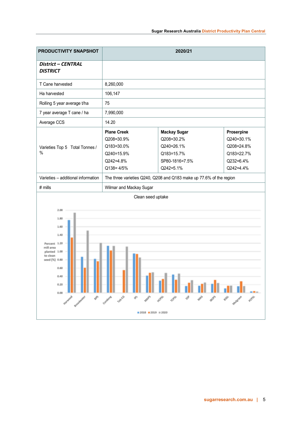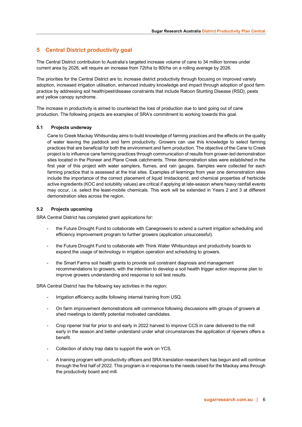# <span id="page-5-0"></span>**5 Central District productivity goal**

The Central District contribution to Australia's targeted increase volume of cane to 34 million tonnes under current area by 2026, will require an increase from 72t/ha to 80t/ha on a rolling average by 2026.

The priorities for the Central District are to; increase district productivity through focusing on improved variety adoption, increased irrigation utilisation, enhanced industry knowledge and impact through adoption of good farm practice by addressing soil health/pest/disease constraints that include Ratoon Stunting Disease (RSD), pests and yellow canopy syndrome.

The increase in productivity is aimed to counteract the loss of production due to land going out of cane production. The following projects are examples of SRA's commitment to working towards this goal.

#### <span id="page-5-1"></span>**5.1 Projects underway**

Cane to Creek Mackay Whitsunday aims to build knowledge of farming practices and the effects on the quality of water leaving the paddock and farm productivity. Growers can use this knowledge to select farming practices that are beneficial for both the environment and farm production. The objective of the Cane to Creek project is to influence cane farming practices through communication of results from grower-led demonstration sites located in the Pioneer and Plane Creek catchments. Three demonstration sites were established in the first year of this project with water samplers, flumes, and rain gauges. Samples were collected for each farming practice that is assessed at the trial sites. Examples of learnings from year one demonstration sites include the importance of the correct placement of liquid Imidacloprid, and chemical properties of herbicide active ingredients (KOC and solubility values) are critical if applying at late-season where heavy rainfall events may occur, i.e. select the least-mobile chemicals. This work will be extended in Years 2 and 3 at different demonstration sites across the region.

#### <span id="page-5-2"></span>**5.2 Projects upcoming**

SRA Central District has completed grant applications for:

- the Future Drought Fund to collaborate with Canegrowers to extend a current irrigation scheduling and efficiency improvement program to further growers (application unsuccessful).
- the Future Drought Fund to collaborate with Think Water Whitsundays and productivity boards to expand the usage of technology in irrigation operation and scheduling to growers.
- the Smart Farms soil health grants to provide soil constraint diagnosis and management recommendations to growers, with the intention to develop a soil health trigger action response plan to improve growers understanding and response to soil test results.

SRA Central District has the following key activities in the region:

- Irrigation efficiency audits following internal training from USQ.
- On farm improvement demonstrations will commence following discussions with groups of growers at shed meetings to identify potential motivated candidates.
- Crop ripener trial for prior to and early in 2022 harvest to improve CCS in cane delivered to the mill early in the season and better understand under what circumstances the application of ripeners offers a benefit.
- Collection of sticky trap data to support the work on YCS.
- A training program with productivity officers and SRA translation researchers has begun and will continue through the first half of 2022. This program is in response to the needs raised for the Mackay area through the productivity board and mill.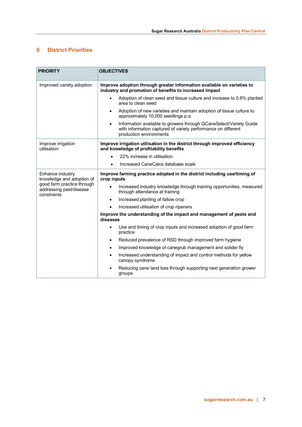# <span id="page-6-0"></span>**6 District Priorities**

| <b>PRIORITY</b>                                                      | <b>OBJECTIVES</b>                                                                                                                                                           |  |  |  |
|----------------------------------------------------------------------|-----------------------------------------------------------------------------------------------------------------------------------------------------------------------------|--|--|--|
| Improved variety adoption                                            | Improve adoption through greater information available on varieties to<br>industry and promotion of benefits to increased impact                                            |  |  |  |
|                                                                      | Adoption of clean seed and tissue culture and increase to 0.6% planted<br>area to clean seed                                                                                |  |  |  |
|                                                                      | Adoption of new varieties and maintain adoption of tissue culture to<br>$\bullet$<br>approximately 10,000 seedlings p.a.                                                    |  |  |  |
|                                                                      | Information available to growers through QCaneSelect/Variety Guide<br>$\bullet$<br>with information captured of variety performance on different<br>production environments |  |  |  |
| Improve irrigation<br>utilisation                                    | Improve irrigation utilisation in the district through improved efficiency<br>and knowledge of profitability benefits                                                       |  |  |  |
|                                                                      | 22% increase in utilisation                                                                                                                                                 |  |  |  |
|                                                                      | Increased CaneCalcs database scale<br>$\bullet$                                                                                                                             |  |  |  |
| Enhance industry<br>knowledge and adoption of                        | Improve farming practice adopted in the district including use/timing of<br>crop inputs                                                                                     |  |  |  |
| good farm practice through<br>addressing pest/disease<br>constraints | Increased industry knowledge through training opportunities, measured<br>$\bullet$<br>through attendance at training                                                        |  |  |  |
|                                                                      | Increased planting of fallow crop<br>$\bullet$                                                                                                                              |  |  |  |
|                                                                      | Increased utilisation of crop ripeners                                                                                                                                      |  |  |  |
|                                                                      | Improve the understanding of the impact and management of pests and<br>diseases                                                                                             |  |  |  |
|                                                                      | Use and timing of crop inputs and increased adoption of good farm<br>$\bullet$<br>practice                                                                                  |  |  |  |
|                                                                      | Reduced prevalence of RSD through improved farm hygiene<br>$\bullet$                                                                                                        |  |  |  |
|                                                                      | Improved knowledge of canegrub management and solider fly<br>$\bullet$                                                                                                      |  |  |  |
|                                                                      | Increased understanding of impact and control methods for yellow<br>$\bullet$<br>canopy syndrome                                                                            |  |  |  |
|                                                                      | Reducing cane land loss through supporting next generation grower<br>groups                                                                                                 |  |  |  |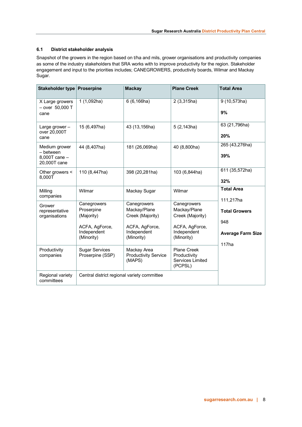### <span id="page-7-0"></span>**6.1 District stakeholder analysis**

Snapshot of the growers in the region based on t/ha and mils, grower organisations and productivity companies as some of the industry stakeholders that SRA works with to improve productivity for the region. Stakeholder engagement and input to the priorities includes; CANEGROWERS, productivity boards, Wilmar and Mackay Sugar.

| Stakeholder type                                            | <b>Proserpine</b>                                                                      | <b>Mackay</b>                                                                                  | <b>Plane Creek</b>                                                                             | <b>Total Area</b>                                                            |
|-------------------------------------------------------------|----------------------------------------------------------------------------------------|------------------------------------------------------------------------------------------------|------------------------------------------------------------------------------------------------|------------------------------------------------------------------------------|
| X Large growers<br>$-$ over 50,000 T<br>cane                | 1(1,092ha)                                                                             | 6(6, 166ha)                                                                                    | 2(3,315ha)                                                                                     | 9 (10,573ha)<br>9%                                                           |
| Large grower -<br>over 20,000T<br>cane                      | 15 (6,497ha)                                                                           | 43 (13,156ha)                                                                                  | 5(2, 143ha)                                                                                    | 63 (21,796ha)<br>20%                                                         |
| Medium grower<br>- between<br>8,000T cane -<br>20,000T cane | 44 (8,407ha)                                                                           | 181 (26,069ha)                                                                                 | 40 (8,800ha)                                                                                   | 265 (43,276ha)<br>39%                                                        |
| Other growers <<br>8,000T                                   | 110 (8,447ha)                                                                          | 398 (20,281ha)                                                                                 | 103 (6,844ha)                                                                                  | 611 (35,572ha)<br>32%                                                        |
| Milling<br>companies                                        | Wilmar                                                                                 | Mackay Sugar                                                                                   | Wilmar                                                                                         | <b>Total Area</b><br>111,217ha                                               |
| Grower<br>representative<br>organisations                   | Canegrowers<br>Proserpine<br>(Majority)<br>ACFA, AgForce,<br>Independent<br>(Minority) | Canegrowers<br>Mackay/Plane<br>Creek (Majority)<br>ACFA, AgForce,<br>Independent<br>(Minority) | Canegrowers<br>Mackay/Plane<br>Creek (Majority)<br>ACFA, AgForce,<br>Independent<br>(Minority) | <b>Total Growers</b><br>948<br><b>Average Farm Size</b><br>117 <sub>ha</sub> |
| Productivity<br>companies                                   | <b>Sugar Services</b><br>Proserpine (SSP)                                              | Mackay Area<br><b>Productivity Service</b><br>(MAPS)                                           | <b>Plane Creek</b><br>Productivity<br>Services Limited<br>(PCPSL)                              |                                                                              |
| Regional variety<br>committees                              | Central district regional variety committee                                            |                                                                                                |                                                                                                |                                                                              |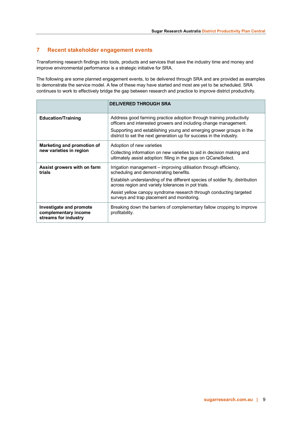# <span id="page-8-0"></span>**7 Recent stakeholder engagement events**

Transforming research findings into tools, products and services that save the industry time and money and improve environmental performance is a strategic initiative for SRA.

The following are some planned engagement events, to be delivered through SRA and are provided as examples to demonstrate the service model. A few of these may have started and most are yet to be scheduled. SRA continues to work to effectively bridge the gap between research and practice to improve district productivity.

|                                                                         | <b>DELIVERED THROUGH SRA</b>                                                                                                                                          |
|-------------------------------------------------------------------------|-----------------------------------------------------------------------------------------------------------------------------------------------------------------------|
| <b>Education/Training</b>                                               | Address good farming practice adoption through training productivity<br>officers and interested growers and including change management.                              |
|                                                                         | Supporting and establishing young and emerging grower groups in the<br>district to set the next generation up for success in the industry.                            |
| Marketing and promotion of<br>new varieties in region                   | Adoption of new varieties<br>Collecting information on new varieties to aid in decision making and<br>ultimately assist adoption: filling in the gaps on QCaneSelect. |
| Assist growers with on farm<br>trials                                   | Irrigation management – improving utilisation through efficiency,<br>scheduling and demonstrating benefits.                                                           |
|                                                                         | Establish understanding of the different species of soldier fly, distribution<br>across region and variety tolerances in pot trials.                                  |
|                                                                         | Assist yellow canopy syndrome research through conducting targeted<br>surveys and trap placement and monitoring.                                                      |
| Investigate and promote<br>complementary income<br>streams for industry | Breaking down the barriers of complementary fallow cropping to improve<br>profitability.                                                                              |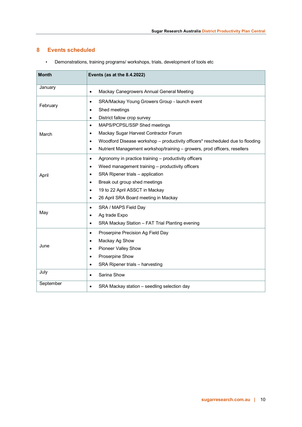# <span id="page-9-0"></span>**8 Events scheduled**

| <b>Month</b> | Events (as at the 8.4.2022)                                                                 |
|--------------|---------------------------------------------------------------------------------------------|
| January      | Mackay Canegrowers Annual General Meeting<br>$\bullet$                                      |
|              | SRA/Mackay Young Growers Group - launch event<br>$\bullet$                                  |
| February     | Shed meetings<br>¢                                                                          |
|              | District fallow crop survey<br>$\bullet$                                                    |
|              | MAPS/PCPSL/SSP Shed meetings<br>$\bullet$                                                   |
| March        | Mackay Sugar Harvest Contractor Forum<br>٠                                                  |
|              | Woodford Disease workshop - productivity officers* rescheduled due to flooding<br>$\bullet$ |
|              | Nutrient Management workshop/training - growers, prod officers, resellers<br>$\bullet$      |
|              | Agronomy in practice training - productivity officers<br>$\bullet$                          |
|              | Weed management training - productivity officers<br>$\bullet$                               |
| April        | SRA Ripener trials - application<br>$\bullet$                                               |
|              | Break out group shed meetings<br>$\bullet$                                                  |
|              | 19 to 22 April ASSCT in Mackay<br>٠                                                         |
|              | 26 April SRA Board meeting in Mackay<br>$\bullet$                                           |
|              | SRA / MAPS Field Day<br>$\bullet$                                                           |
| May          | Ag trade Expo<br>$\bullet$                                                                  |
|              | SRA Mackay Station - FAT Trial Planting evening<br>$\bullet$                                |
|              | Proserpine Precision Ag Field Day<br>$\bullet$                                              |
|              | Mackay Ag Show<br>٠                                                                         |
| June         | <b>Pioneer Valley Show</b><br>$\bullet$                                                     |
|              | Proserpine Show<br>$\bullet$                                                                |
|              | SRA Ripener trials - harvesting<br>$\bullet$                                                |
| July         | Sarina Show<br>$\bullet$                                                                    |
| September    | SRA Mackay station - seedling selection day<br>$\bullet$                                    |

• Demonstrations, training programs/ workshops, trials, development of tools etc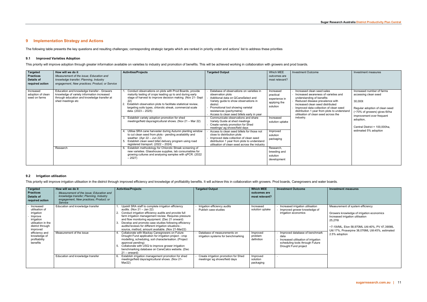# <span id="page-10-0"></span>**9 Implementation Strategy and Actions**

The following table presents the key questions and resulting challenges; corresponding strategic targets which are ranked in priority order and actions' list to address these priorities

#### <span id="page-10-1"></span>**9.1 Improved Varieties Adoption**

This priority will improve adoption through greater information available on varieties to industry and promotion of benefits. This will be achieved working in collaboration with growers and prod boards.

| Education and knowledge transfer - Growers<br>Conduct observations on plots with Prod Boards, provide<br>Increased number of farms<br>Increased<br>Database of observations on varieties in<br>Increased clean seed sales<br>Increased<br>knowledge of variety information increased<br>maturity testing of crops leading up to and during early<br>adoption of clean<br>accessing clean seed<br>observation plots<br>Increased awareness of varieties and<br>practical<br>through education and knowledge transfer at<br>stage of harvest to improve decision making. (Nov 21- Sept<br>seed on farms<br>Additional data on QCaneSelect and<br>understanding of benefits<br>experience in<br>22)<br>shed meetings etc<br>Reduced disease prevalence with<br>Variety guide to show observations in<br>30,000t<br>applying the<br>Establish observation plots to facilitate statistical review,<br>increased clean seed distributed<br>district<br>solution<br>targeting soils types, chlorotic streak, commercial scale<br>Promotional tool showing varietal<br>Improved data collection of clean seed<br>Regular adoption of clean seed<br>data. (2023 – 2025)<br>resistances (pachymetra)<br>distribution 1 year from plots to understand<br>(~70% of growers) gives 6t/ha<br>utilisation of clean seed across the<br>Access to clean seed billets early in year<br>improvement over frequent<br>Establish variety adoption promotion for shed<br>Communicate observations and share<br>industry.<br>Increased<br>adoption,<br>meetings/field days/agricultural shows. (Nov 21 - Mar 22)<br>Variety Guide at shed meetings<br>solution uptake<br>Create variety promotion for Shed<br>Central District = 100.000ha.<br>meetings/ ag shows/field days<br>estimated 5% adoption<br>Utilise SRA cane harvester during Autumn planting window<br>Access to clean seed billets for those not<br>Improved<br>to cut clean seed from plots - pending availability and<br>close to distribution plots<br>solution<br>weather. (Apr $22 -$ Jun $22$ )<br>Improved data collection of clean seed<br>packaging<br>Establish clean seed billet delivery program using road<br>distribution 1 year from plots to understand<br>registered transport. $(2022 - 2024)$<br>utilisation of clean seed across the industry<br>Establish methodology for Chlorotic Streak screening of<br>Research<br>Research,<br>new varieties. Glasshouse supplies, lab consumables for<br>breeding and<br>growing cultures and analysing samples with qPCR. (2022)<br>solution<br>$-2027$<br>development | <b>Targeted</b><br><b>Practices</b><br><b>Details of</b><br>required action | How will we do it<br>Measurement of the issue: Education and<br>knowledge transfer; Planning, Industry<br>engagement, New practices; Product; or Service | <b>Activities/Projects</b> | <b>Targeted Output</b> | Which MEE<br>outcomes are<br>most relevant? | <b>Investment Outcome</b> | Investment measures |
|----------------------------------------------------------------------------------------------------------------------------------------------------------------------------------------------------------------------------------------------------------------------------------------------------------------------------------------------------------------------------------------------------------------------------------------------------------------------------------------------------------------------------------------------------------------------------------------------------------------------------------------------------------------------------------------------------------------------------------------------------------------------------------------------------------------------------------------------------------------------------------------------------------------------------------------------------------------------------------------------------------------------------------------------------------------------------------------------------------------------------------------------------------------------------------------------------------------------------------------------------------------------------------------------------------------------------------------------------------------------------------------------------------------------------------------------------------------------------------------------------------------------------------------------------------------------------------------------------------------------------------------------------------------------------------------------------------------------------------------------------------------------------------------------------------------------------------------------------------------------------------------------------------------------------------------------------------------------------------------------------------------------------------------------------------------------------------------------------------------------------------------------------------------------------------------------------------------------------------------------------------------------------------------------------------------------------------------------------------------------------------------------------------------------------------------------------------------------------------------------------------------------------------------------------------------------------|-----------------------------------------------------------------------------|----------------------------------------------------------------------------------------------------------------------------------------------------------|----------------------------|------------------------|---------------------------------------------|---------------------------|---------------------|
|                                                                                                                                                                                                                                                                                                                                                                                                                                                                                                                                                                                                                                                                                                                                                                                                                                                                                                                                                                                                                                                                                                                                                                                                                                                                                                                                                                                                                                                                                                                                                                                                                                                                                                                                                                                                                                                                                                                                                                                                                                                                                                                                                                                                                                                                                                                                                                                                                                                                                                                                                                            |                                                                             |                                                                                                                                                          |                            |                        |                                             |                           |                     |

#### <span id="page-10-2"></span>**9.2 Irrigation utilisation**

This priority will improve irrigation utilisation in the district through improved efficiency and knowledge of profitability benefits. It will achieve this in collaboration with growers. Prod boards, Canegrowers and water

| Targeted<br><b>Practices</b><br>Details of<br>required action                                                                                                                           | How will we do it<br>Measurement of the issue: Education and<br>knowledge transfer; Planning, Industry<br>engagement, New practices; Product; or<br>Service | <b>Activities/Projects</b>                                                                                                                                                                                                                                                                                                                                                                                                                                                                                                                                                                                                                                                                                                                    | <b>Targeted Output</b>                                                                                                     | <b>Which MEE</b><br>outcomes are<br>most relevant?                | <b>Investment Outcome</b>                                                                                                                                                                                                            | <b>Investment measures</b>                                                                                                                                                                                                                             |
|-----------------------------------------------------------------------------------------------------------------------------------------------------------------------------------------|-------------------------------------------------------------------------------------------------------------------------------------------------------------|-----------------------------------------------------------------------------------------------------------------------------------------------------------------------------------------------------------------------------------------------------------------------------------------------------------------------------------------------------------------------------------------------------------------------------------------------------------------------------------------------------------------------------------------------------------------------------------------------------------------------------------------------------------------------------------------------------------------------------------------------|----------------------------------------------------------------------------------------------------------------------------|-------------------------------------------------------------------|--------------------------------------------------------------------------------------------------------------------------------------------------------------------------------------------------------------------------------------|--------------------------------------------------------------------------------------------------------------------------------------------------------------------------------------------------------------------------------------------------------|
| Increased<br>utilisation of<br>irrigation<br>Improve<br>irrigation<br>utilisation in the<br>district through<br>improved<br>efficiency and<br>knowledge of<br>profitability<br>benefits | Education and knowledge transfer<br>Measurement of the issue                                                                                                | Upskill SRA staff to complete irrigation efficiency<br>audits. (Nov 21 – Jan 22)<br>Conduct irrigation efficiency audits and provide full<br>farm irrigation management review. Requires pressure<br>and flow monitoring equipment. (Dec 21 onward)<br>Develop and promote case studies following efficiency<br>audits/reviews for different irrigation situations -<br>source, method, amount available. (Nov 21-Mar22)<br>Collaborate with Mackay Canegrowers on Future<br>Drought Fund application for irrigation project - crop<br>modelling, scheduling, soil characterisation. (Project<br>approval pending)<br>Collaborate with USQ to improve grower irrigation<br>benchmarking database on CaneCalcs website. (Dec<br>$21 -$ onward) | Irrigation efficiency audits<br>Publish case studies<br>Database of measurements on<br>irrigation systems for benchmarking | Increased<br>solution uptake<br>Improved<br>problem<br>definition | Increased irrigation utilisation<br>Improved grower knowledge of<br>irrigation economics<br>Improved database of benchmark<br>data<br>Increased utilisation of irrigation<br>scheduling tools through Future<br>Drought Fund project | Measurement of system efficiency<br>Growers knowledge of irrigation economics<br>Increased irrigation utilisation<br>25,276t<br>~7-10t/ML, Eton 58,970ML Util:40%, PV 47,390ML<br>Util: 17%, Proserpine 38,076ML Util: 45%, estimated<br>2.5% adoption |
|                                                                                                                                                                                         | Education and knowledge transfer                                                                                                                            | Establish irrigation management promotion for shed<br>meetings/field days/agricultural shows. (Nov 21-<br>Mar22)                                                                                                                                                                                                                                                                                                                                                                                                                                                                                                                                                                                                                              | Create irrigation promotion for Shed<br>meetings/ ag shows/field days                                                      | Improved<br>solution<br>packaging                                 |                                                                                                                                                                                                                                      |                                                                                                                                                                                                                                                        |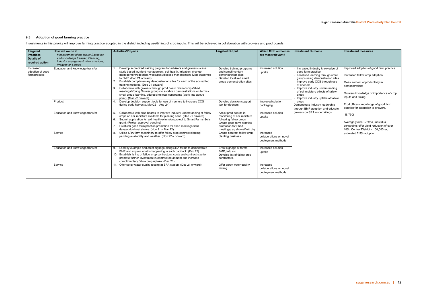# <span id="page-11-0"></span>**9.3 Adoption of good farming practice**

Investments in this priority will improve farming practice adopted in the district including use/timing of crop inputs. This will be achieved in collaboration with growers and prod boards.

| <b>Targeted</b>                                | How will we do it                                                               | <b>Activities/Projects</b>                                                                                                                                                                                                                                                                                                                                                                                                                                                                                                                                                 | <b>Targeted Output</b>                                                                                                                                            | Which MEE outcomes                                         | <b>Investment Outcome</b>                                                                                                                                                                                                                             | <b>Investment measures</b>                                                                                                       |  |       |                                                                                                                                                                          |
|------------------------------------------------|---------------------------------------------------------------------------------|----------------------------------------------------------------------------------------------------------------------------------------------------------------------------------------------------------------------------------------------------------------------------------------------------------------------------------------------------------------------------------------------------------------------------------------------------------------------------------------------------------------------------------------------------------------------------|-------------------------------------------------------------------------------------------------------------------------------------------------------------------|------------------------------------------------------------|-------------------------------------------------------------------------------------------------------------------------------------------------------------------------------------------------------------------------------------------------------|----------------------------------------------------------------------------------------------------------------------------------|--|-------|--------------------------------------------------------------------------------------------------------------------------------------------------------------------------|
| <b>Practices</b><br><b>Details of</b>          | <b>Measurement of the issue: Education</b><br>and knowledge transfer; Planning, |                                                                                                                                                                                                                                                                                                                                                                                                                                                                                                                                                                            |                                                                                                                                                                   | are most relevant?                                         |                                                                                                                                                                                                                                                       |                                                                                                                                  |  |       |                                                                                                                                                                          |
| required action                                | Industry engagement, New practices;                                             |                                                                                                                                                                                                                                                                                                                                                                                                                                                                                                                                                                            |                                                                                                                                                                   |                                                            |                                                                                                                                                                                                                                                       |                                                                                                                                  |  |       |                                                                                                                                                                          |
|                                                | <b>Product: or Service</b>                                                      |                                                                                                                                                                                                                                                                                                                                                                                                                                                                                                                                                                            |                                                                                                                                                                   |                                                            |                                                                                                                                                                                                                                                       |                                                                                                                                  |  |       |                                                                                                                                                                          |
| Increased<br>adoption of good<br>farm practice | Education and knowledge transfer                                                | Develop accredited training program for advisors and growers - case<br>study based: nutrient management, soil health, irrigation, change<br>management/adoption, weed/pest/disease management. Map outcomes<br>to BMP. (Dec 21 onward)<br>Establish complimentary demonstration sites for each of the accredited<br>training modules. (Dec 21 onward)<br>Collaborate with growers through prod board relationships/shed<br>3<br>meetings/Young Grower groups to establish demonstrations on farms -<br>small group learning, addressing local constraints (work into above | Develop training programs<br>and complimentary<br>demonstration sites<br>Develop localised small<br>group demonstration sites                                     | Increased solution<br>uptake                               | Increased industry knowledge of<br>good farm practice<br>Localised learning through small<br>groups using demonstration sites<br>Improve early CCS through use<br>of ripeners<br>Improve industry understanding<br>of soil moisture effects of fallow |                                                                                                                                  |  | crops | Improved adoption of good farm practice<br>Increased fallow crop adoption<br>Measurement of productivity in<br>demonstrations<br>Growers knowledge of importance of crop |
|                                                |                                                                                 | point). (Mar 22 onward)                                                                                                                                                                                                                                                                                                                                                                                                                                                                                                                                                    |                                                                                                                                                                   |                                                            | Improve industry uptake of fallow                                                                                                                                                                                                                     | inputs and timing.                                                                                                               |  |       |                                                                                                                                                                          |
|                                                | Product                                                                         | Develop decision support tools for use of ripeners to increase CCS<br>during early harvests. May22 - Aug 24)                                                                                                                                                                                                                                                                                                                                                                                                                                                               | Develop decision support<br>tool for ripeners                                                                                                                     | Improved solution<br>packaging                             | crops<br>Demonstrate industry leadership<br>through BMP adoption and educate<br>growers on SRA undertakings                                                                                                                                           | Prod officers knowledge of good farm<br>practice for extension to growers.                                                       |  |       |                                                                                                                                                                          |
|                                                | Education and knowledge transfer                                                | Collaborate with prod boards to improve industry understanding of fallow<br>crops on soil moisture available for planting cane. (Dec 21 onward)<br>Submit application for soil health extension project to Smart Farms Soils<br>6.<br>grant. (Project approval pending)<br>Establish good farm practice promotion for shed meetings/field<br>days/agricultural shows. (Nov 21 - Mar 22)                                                                                                                                                                                    | Assist prod boards in<br>monitoring of soil moisture<br>following fallow crops<br>Create good farm practice<br>promotion for Shed<br>meetings/ ag shows/field day | Increased solution<br>uptake                               |                                                                                                                                                                                                                                                       | 18,750t<br>Average yields ~75t/ha, individual<br>constraints offer yield reduction of over<br>10%. Central District = 100.000ha. |  |       |                                                                                                                                                                          |
|                                                | Service                                                                         | Utilise SRA farm machinery to offer fallow crop contract planting -<br>Create contract fallow crop<br>Increased<br>pending availability and weather. (Nov 22 – onward)<br>planting business<br>collaborations on novel<br>deployment methods                                                                                                                                                                                                                                                                                                                               |                                                                                                                                                                   | estimated 2.5% adoption                                    |                                                                                                                                                                                                                                                       |                                                                                                                                  |  |       |                                                                                                                                                                          |
|                                                | Education and knowledge transfer                                                | Lead by example and erect signage along SRA farms to demonstrate<br>9.<br>BMP and explain what is happening in each paddock. (Feb 22)<br>10. Establish listing of fallow crop contractors, costs and contract size to<br>promote further investment in contract equipment and increase<br>complimentary fallow crop uptake. (Dec 21)                                                                                                                                                                                                                                       | Erect signage at farms -<br>BMP. info etc.<br>Develop list of fallow crop<br>contractors.                                                                         | Increased solution<br>uptake                               |                                                                                                                                                                                                                                                       |                                                                                                                                  |  |       |                                                                                                                                                                          |
|                                                | Service                                                                         | 11. Offer spray water quality testing at SRA station. (Dec 21 onward)                                                                                                                                                                                                                                                                                                                                                                                                                                                                                                      | Offer spray water quality<br>testing                                                                                                                              | Increased<br>collaborations on novel<br>deployment methods |                                                                                                                                                                                                                                                       |                                                                                                                                  |  |       |                                                                                                                                                                          |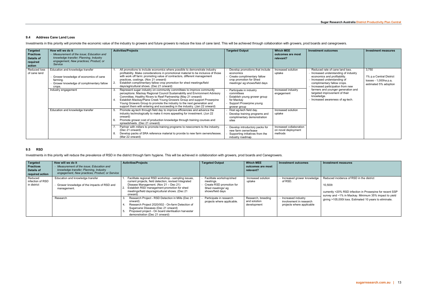## **Investment measures**

### <span id="page-12-0"></span>**9.4 Address Cane Land Loss**

Investments in this priority will promote the economic value of the industry to growers and future growers to reduce the loss of cane land. This will be achieved through collaboration with growers, prod boards and canegrow

| <b>Targeted</b><br><b>Practices</b><br>Details of<br>required<br>action | How will we do it<br>Measurement of the issue: Education and<br>knowledge transfer: Planning, Industry<br>engagement, New practices; Product; or<br>Service | <b>Activities/Projects</b>                                                                                                                                                                                                                                                                                                                                                                                                                                | <b>Targeted Output</b>                                                                                                                  | <b>Which MEE</b><br>outcomes are most<br>relevant?        | <b>Investment outcomes</b>                                                                                                                                                                                                                                                                                                      | <b>Investment measures</b>                                                         |
|-------------------------------------------------------------------------|-------------------------------------------------------------------------------------------------------------------------------------------------------------|-----------------------------------------------------------------------------------------------------------------------------------------------------------------------------------------------------------------------------------------------------------------------------------------------------------------------------------------------------------------------------------------------------------------------------------------------------------|-----------------------------------------------------------------------------------------------------------------------------------------|-----------------------------------------------------------|---------------------------------------------------------------------------------------------------------------------------------------------------------------------------------------------------------------------------------------------------------------------------------------------------------------------------------|------------------------------------------------------------------------------------|
| <b>Reduced loss</b><br>of cane land                                     | Education and knowledge transfer<br>Grower knowledge of economics of cane<br>farming.<br>Grower knowledge of complimentary fallow<br>crops.                 | All promotions to include economics where possible to demonstrate industry<br>profitability. Make considerations in promotional material to be inclusive of those<br>with work off farm: promoting value of contractors, different management<br>practices, costings. (Nov 21 onward)<br>Establish complimentary fallow crop promotion for shed meetings/field<br>days/agricultural shows. (Dec 21 onward)                                                | Develop promotions that include<br>economics<br>Create complimentary fallow<br>crop promotion for Shed<br>meetings/ ag shows/field days | Increased solution<br>uptake                              | Reduced rate of cane land loss.<br>Increased understanding of industry<br>economics and profitability.<br>Increased understanding of<br>complimentary fallow crops.<br>Increased participation from new<br>farmers and younger generation and<br>targeted improvement of their<br>knowledge.<br>Increased awareness of ag-tech. | 3,750<br>1% p.a Central District<br>losses - 1,000ha p.a,<br>estimated 5% adoption |
|                                                                         | Industry engagement                                                                                                                                         | Represent sugar industry on community committees to improve community<br>perceptions: Mackay Regional Council Sustainability and Environment Advisory<br>Committee, Healthy Rivers to Reef Partnership (May 21 onward)<br>Establish Mackay/Plane Creek Young Growers Group and support Proserpine<br>Young Growers Group to promote the industry to the next generation and<br>support them with entering and succeeding in the industry. (Jan 22 onward) | Participate in industry<br>committees<br>Establish young grower group<br>for Mackay<br>Support Proserpine young<br>grower group         | Increased industry<br>engagement                          |                                                                                                                                                                                                                                                                                                                                 |                                                                                    |
|                                                                         | Education and knowledge transfer                                                                                                                            | Promote ag-tech through field day to improve efficiencies and advance the<br>industry technologically to make it more appealing for investment. (Jun 22)<br>onward)<br>Promote grower cost of production knowledge through training courses and<br>spreadsheets. (Dec 21 onward)                                                                                                                                                                          | Host ag-tech field day.<br>Develop training programs and<br>complimentary demonstration<br>sites                                        | Increased solution<br>uptake                              |                                                                                                                                                                                                                                                                                                                                 |                                                                                    |
|                                                                         |                                                                                                                                                             | Partner with millers to promote training programs to new comers to the industry.<br>(Dec 21 onward)<br>Develop packs of SRA reference material to provide to new farm owners/lessee.<br>(Mar 22 onward)                                                                                                                                                                                                                                                   | Develop introductory packs for<br>new farm owner/lease<br>Supporting initiatives from the<br>industry roadmap.                          | Increased collaboration<br>on novel deployment<br>methods |                                                                                                                                                                                                                                                                                                                                 |                                                                                    |

currently >20% RSD infection in Proserpine for recent SSP survey and ~1% in Mackay. Minimum 35% impact to yield giving >105,000t loss. Estimated 10 years to eliminate.

#### <span id="page-12-1"></span>**9.5 RSD**

Investments in this priority will reduce the prevalence of RSD in the district through farm hygiene. This will be achieved in collaboration with growers, prod boards and Canegrowers.

| Targeted<br><b>Practices</b><br>Details of<br>required action | How will we do it<br>Measurement of the issue: Education and<br>knowledge transfer; Planning, Industry<br>engagement. New practices: Product: or Service | <b>Activities/Projects</b>                                                                                                                                                                                                                                         | <b>Targeted Output</b>                                                                                     | <b>Which MEE</b><br>outcomes are most<br>relevant? | <b>Investment outcomes</b>                                                 |
|---------------------------------------------------------------|----------------------------------------------------------------------------------------------------------------------------------------------------------|--------------------------------------------------------------------------------------------------------------------------------------------------------------------------------------------------------------------------------------------------------------------|------------------------------------------------------------------------------------------------------------|----------------------------------------------------|----------------------------------------------------------------------------|
| Reduced<br>infection of RSD<br>in district                    | Education and knowledge transfer<br>- Grower knowledge of the impacts of RSD and<br>management.                                                          | Facilitate regional RSD workshop - sampling issues,<br>current projects, field detection, revised Integrated<br>Disease Management. (Nov 21 – Dec 21)<br>Establish RSD management promotion for shed<br>meetings/field days/agricultural shows. (Dec 21<br>onward) | Facilitate workshop/shed<br>meetings.<br>Create RSD promotion for<br>Shed meetings/ ag<br>shows/field days | Increased solution<br>uptake                       | Increased grower knowledge<br>of RSD.                                      |
|                                                               | Research                                                                                                                                                 | Research Project - RSD Detection in Mills (Dec 21<br>onward)<br>Research Project 2020/002 - On-farm Detection of<br>Sugarcane Diseases (Dec 21 onward)<br>Proposed project - On board sterilisation harvester<br>demonstration (Dec 21 onward)                     | Participate in research<br>projects where applicable.                                                      | Research, breeding<br>and solution<br>development  | Increased industry<br>involvement in research<br>projects where applicable |

#### Reduced incidence of RSD in the district

10,500t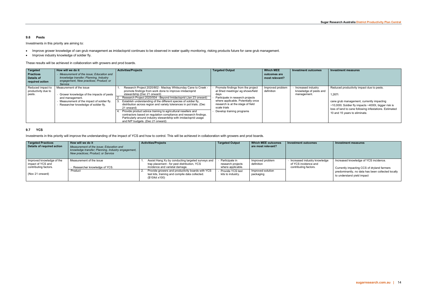#### <span id="page-13-0"></span>**9.6 Pests**

Investments in this priority are aiming to:

- Improve grower knowledge of can grub management as imidacloprid continues to be observed in water quality monitoring, risking products future for cane grub management.
- Improve industry knowledge of soldier fly.

These results will be achieved in collaboration with growers and prod boards.

| Targeted<br><b>Practices</b><br>Details of<br>required action | How will we do it<br>Measurement of the issue; Education and<br>knowledge transfer: Planning, Industry<br>engagement, New practices; Product; or<br>Service                  | <b>Activities/Projects</b>                                                                                                                                                                                                                                                                                                                                                                                                                                                                                                                                                                                                          | Targeted Output                                                                                                                                                                                                                           | <b>Which MEE</b><br>outcomes are<br>most relevant? | Investment outcomes                                         | <b>Investment measures</b>                                                                                                                                                                                                                                      |
|---------------------------------------------------------------|------------------------------------------------------------------------------------------------------------------------------------------------------------------------------|-------------------------------------------------------------------------------------------------------------------------------------------------------------------------------------------------------------------------------------------------------------------------------------------------------------------------------------------------------------------------------------------------------------------------------------------------------------------------------------------------------------------------------------------------------------------------------------------------------------------------------------|-------------------------------------------------------------------------------------------------------------------------------------------------------------------------------------------------------------------------------------------|----------------------------------------------------|-------------------------------------------------------------|-----------------------------------------------------------------------------------------------------------------------------------------------------------------------------------------------------------------------------------------------------------------|
| Reduced impact to<br>productivity due to<br>pests.            | Measurement of the issue<br>Grower knowledge of the impacts of pests<br>and management.<br>Measurement of the impact of soldier fly.<br>Researcher knowledge of soldier fly. | Research Project 2020/802 - Mackay Whitsunday Cane to Creek -<br>promote findings from work done to improve imidacloprid<br>stewardship (Dec 21 onward)<br>Research Project 2020/004 - Beyond Imidacloprid (Jan 23 onward)<br>Establish understanding of the different species of soldier fly,<br>distribution across region and variety tolerances in pot trials. (Dec<br>21 onward)<br>Provide product advice training to agricultural resellers and<br>contractors based on regulation compliance and research findings.<br>Particularly around industry stewardship with imidacloprid usage<br>and N/P budgets. (Dec 21 onward) | Promote findings from the project<br>at Shed meetings/ ag shows/field<br>days<br>Participate in research projects<br>where applicable. Potentially once<br>research is at the stage of field<br>scale trials<br>Develop training programs | Improved problem<br>definition                     | Increased industry<br>knowledge of pests and<br>management. | Reduced productivity impact due to pests.<br>1.267t<br>cane grub management, currently impacting<br>$\sim$ 10,000t. Soldier fly impacts $\sim$ 4000t, bigger risk is<br>loss of land to cane following infestations. Estimated<br>10 and 15 years to eliminate. |

#### <span id="page-13-1"></span>**9.7 YCS**

Investments in this priority will improve the understanding of the impact of YCS and how to control. This will be achieved in collaboration with growers and prod boards.

| <b>Targeted Practices</b><br>Details of required action                 | How will we do it<br>Measurement of the issue: Education and<br>knowledge transfer; Planning, Industry engagement,<br>New practices: Product: or Service | <b>Activities/Projects</b>                                                                                                         | <b>Targeted Output</b>                                   | Which MEE outcomes<br>are most relevant? | <b>Investment outcomes</b>                                                    | Investment measures                                                                                                                                                    |
|-------------------------------------------------------------------------|----------------------------------------------------------------------------------------------------------------------------------------------------------|------------------------------------------------------------------------------------------------------------------------------------|----------------------------------------------------------|------------------------------------------|-------------------------------------------------------------------------------|------------------------------------------------------------------------------------------------------------------------------------------------------------------------|
| Improved knowledge of the<br>impact of YCS and<br>contributing factors. | Measurement of the issue<br>Researcher knowledge of YCS.                                                                                                 | Assist Hang Xu by conducting targeted surveys and<br>trap placement - for pest distribution, YCS<br>incidence and varietal damage. | Participate in<br>research projects<br>where applicable. | Improved problem<br>definition           | Increased industry knowledge<br>of YCS incidence and<br>contributing factors. | Increased knowledge of YCS incidence.<br>Currently impacting CCS of dryland farmers<br>predominantly, no data has been collected locally<br>to understand yield impact |
| (Nov 21 onward)                                                         | Product                                                                                                                                                  | Provide growers and productivity boards with YCS<br>test kits, training and compile data collected.<br>(\$10/kit x100)             | Provide YCS test<br>kits to industry.                    | Improved solution<br>packaging           |                                                                               |                                                                                                                                                                        |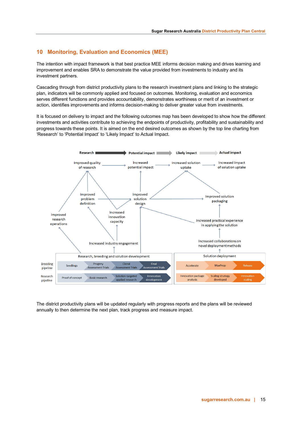# <span id="page-14-0"></span>**10 Monitoring, Evaluation and Economics (MEE)**

The intention with impact framework is that best practice MEE informs decision making and drives learning and improvement and enables SRA to demonstrate the value provided from investments to industry and its investment partners.

Cascading through from district productivity plans to the research investment plans and linking to the strategic plan, indicators will be commonly applied and focused on outcomes. Monitoring, evaluation and economics serves different functions and provides accountability, demonstrates worthiness or merit of an investment or action, identifies improvements and informs decision-making to deliver greater value from investments.

It is focused on delivery to impact and the following outcomes map has been developed to show how the different investments and activities contribute to achieving the endpoints of productivity, profitability and sustainability and progress towards these points. It is aimed on the end desired outcomes as shown by the top line charting from 'Research' to 'Potential Impact' to 'Likely Impact' to Actual Impact.



The district productivity plans will be updated regularly with progress reports and the plans will be reviewed annually to then determine the next plan, track progress and measure impact.